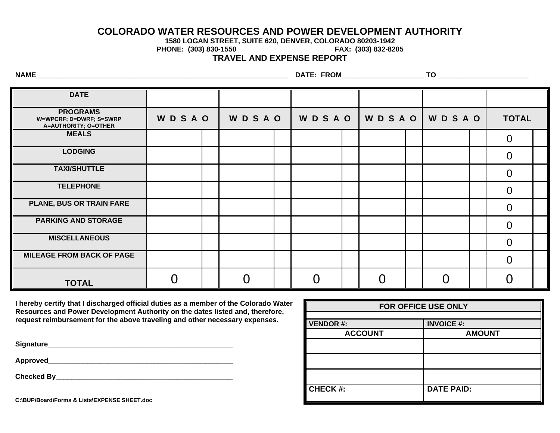## **COLORADO WATER RESOURCES AND POWER DEVELOPMENT AUTHORITY**

**1580 LOGAN STREET, SUITE 620, DENVER, COLORADO 80203-1942**

**PHONE: (303) 830-1550** 

**TRAVEL AND EXPENSE REPORT**

**NAME\_\_\_\_\_\_\_\_\_\_\_\_\_\_\_\_\_\_\_\_\_\_\_\_\_\_\_\_\_\_\_\_\_\_\_\_\_\_\_\_\_\_\_\_\_\_\_\_\_\_\_\_\_\_\_\_\_\_\_\_\_\_\_\_ DATE: FROM\_\_\_\_\_\_\_\_\_\_\_\_\_\_\_\_\_\_\_\_\_ TO \_\_\_\_\_\_\_\_\_\_\_\_\_\_\_\_\_\_\_\_\_\_\_**

| <b>DATE</b>                                                        |              |              |  |              |  |       |  |              |  |                |  |
|--------------------------------------------------------------------|--------------|--------------|--|--------------|--|-------|--|--------------|--|----------------|--|
| <b>PROGRAMS</b><br>W=WPCRF; D=DWRF; S=SWRP<br>A=AUTHORITY; O=OTHER | <b>WDSAO</b> | <b>WDSAO</b> |  | <b>WDSAO</b> |  | WDSAO |  | <b>WDSAO</b> |  | <b>TOTAL</b>   |  |
| <b>MEALS</b>                                                       |              |              |  |              |  |       |  |              |  | $\Omega$       |  |
| <b>LODGING</b>                                                     |              |              |  |              |  |       |  |              |  | $\Omega$       |  |
| <b>TAXI/SHUTTLE</b>                                                |              |              |  |              |  |       |  |              |  | $\overline{0}$ |  |
| <b>TELEPHONE</b>                                                   |              |              |  |              |  |       |  |              |  | $\overline{0}$ |  |
| PLANE, BUS OR TRAIN FARE                                           |              |              |  |              |  |       |  |              |  | $\Omega$       |  |
| <b>PARKING AND STORAGE</b>                                         |              |              |  |              |  |       |  |              |  | $\Omega$       |  |
| <b>MISCELLANEOUS</b>                                               |              |              |  |              |  |       |  |              |  | $\overline{0}$ |  |
| <b>MILEAGE FROM BACK OF PAGE</b>                                   |              |              |  |              |  |       |  |              |  | $\Omega$       |  |
| <b>TOTAL</b>                                                       |              |              |  | $\bigcap$    |  |       |  | $\Omega$     |  |                |  |

**I hereby certify that I discharged official duties as a member of the Colorado Water Resources and Power Development Authority on the dates listed and, therefore, request reimbursement for the above traveling and other necessary expenses.**

**Signature\_\_\_\_\_\_\_\_\_\_\_\_\_\_\_\_\_\_\_\_\_\_\_\_\_\_\_\_\_\_\_\_\_\_\_\_\_\_\_\_\_\_\_\_\_\_\_**

**Approved\_\_\_\_\_\_\_\_\_\_\_\_\_\_\_\_\_\_\_\_\_\_\_\_\_\_\_\_\_\_\_\_\_\_\_\_\_\_\_\_\_\_\_\_\_\_\_**

**Checked By** 

| FOR OFFICE USE ONLY |                   |  |  |  |  |  |  |
|---------------------|-------------------|--|--|--|--|--|--|
|                     |                   |  |  |  |  |  |  |
| <b>VENDOR#:</b>     | <b>INVOICE #:</b> |  |  |  |  |  |  |
| <b>ACCOUNT</b>      | <b>AMOUNT</b>     |  |  |  |  |  |  |
|                     |                   |  |  |  |  |  |  |
|                     |                   |  |  |  |  |  |  |
|                     |                   |  |  |  |  |  |  |
| <b>CHECK #:</b>     | <b>DATE PAID:</b> |  |  |  |  |  |  |

**C:\BUP\Board\Forms & Lists\EXPENSE SHEET.doc**